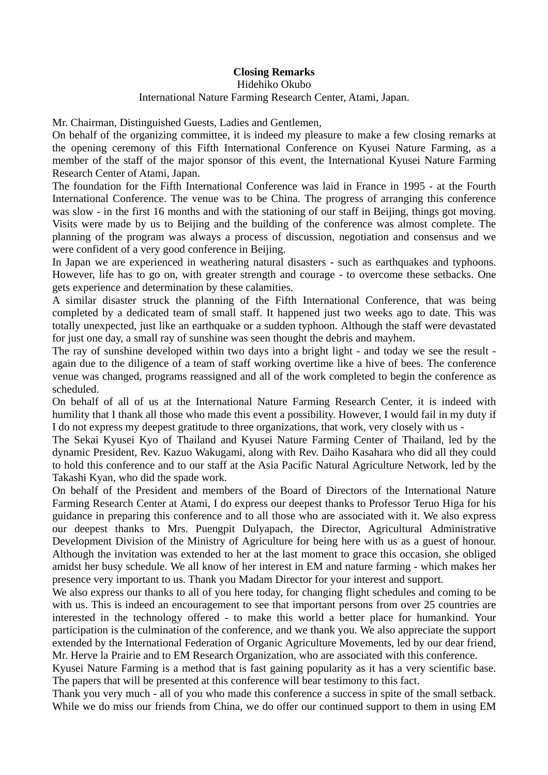## **Closing Remarks**

## Hidehiko Okubo International Nature Farming Research Center, Atami, Japan.

Mr. Chairman, Distinguished Guests, Ladies and Gentlemen,

On behalf of the organizing committee, it is indeed my pleasure to make a few closing remarks at the opening ceremony of this Fifth International Conference on Kyusei Nature Farming, as a member of the staff of the major sponsor of this event, the International Kyusei Nature Farming Research Center of Atami, Japan.

The foundation for the Fifth International Conference was laid in France in 1995 - at the Fourth International Conference. The venue was to be China. The progress of arranging this conference was slow - in the first 16 months and with the stationing of our staff in Beijing, things got moving. Visits were made by us to Beijing and the building of the conference was almost complete. The planning of the program was always a process of discussion, negotiation and consensus and we were confident of a very good conference in Beijing.

In Japan we are experienced in weathering natural disasters - such as earthquakes and typhoons. However, life has to go on, with greater strength and courage - to overcome these setbacks. One gets experience and determination by these calamities.

A similar disaster struck the planning of the Fifth International Conference, that was being completed by a dedicated team of small staff. It happened just two weeks ago to date. This was totally unexpected, just like an earthquake or a sudden typhoon. Although the staff were devastated for just one day, a small ray of sunshine was seen thought the debris and mayhem.

The ray of sunshine developed within two days into a bright light - and today we see the result again due to the diligence of a team of staff working overtime like a hive of bees. The conference venue was changed, programs reassigned and all of the work completed to begin the conference as scheduled.

On behalf of all of us at the International Nature Farming Research Center, it is indeed with humility that I thank all those who made this event a possibility. However, I would fail in my duty if I do not express my deepest gratitude to three organizations, that work, very closely with us -

The Sekai Kyusei Kyo of Thailand and Kyusei Nature Farming Center of Thailand, led by the dynamic President, Rev. Kazuo Wakugami, along with Rev. Daiho Kasahara who did all they could to hold this conference and to our staff at the Asia Pacific Natural Agriculture Network, led by the Takashi Kyan, who did the spade work.

On behalf of the President and members of the Board of Directors of the International Nature Farming Research Center at Atami, I do express our deepest thanks to Professor Teruo Higa for his guidance in preparing this conference and to all those who are associated with it. We also express our deepest thanks to Mrs. Puengpit Dulyapach, the Director, Agricultural Administrative Development Division of the Ministry of Agriculture for being here with us as a guest of honour. Although the invitation was extended to her at the last moment to grace this occasion, she obliged amidst her busy schedule. We all know of her interest in EM and nature farming - which makes her presence very important to us. Thank you Madam Director for your interest and support.

We also express our thanks to all of you here today, for changing flight schedules and coming to be with us. This is indeed an encouragement to see that important persons from over 25 countries are interested in the technology offered - to make this world a better place for humankind. Your participation is the culmination of the conference, and we thank you. We also appreciate the support extended by the International Federation of Organic Agriculture Movements, led by our dear friend, Mr. Herve la Prairie and to EM Research Organization, who are associated with this conference.

Kyusei Nature Farming is a method that is fast gaining popularity as it has a very scientific base. The papers that will be presented at this conference will bear testimony to this fact.

Thank you very much - all of you who made this conference a success in spite of the small setback. While we do miss our friends from China, we do offer our continued support to them in using EM